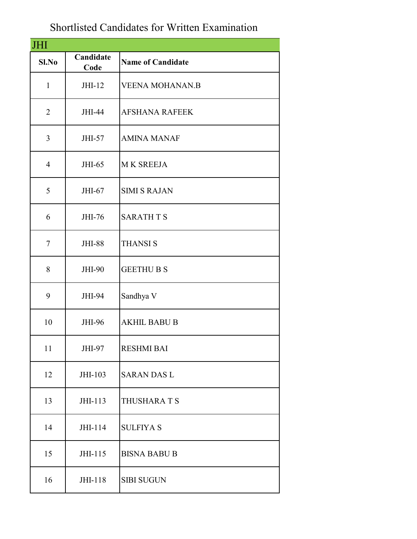## Shortlisted Candidates for Written Examination

| JHI            |                   |                          |
|----------------|-------------------|--------------------------|
| Sl.No          | Candidate<br>Code | <b>Name of Candidate</b> |
| $\mathbf{1}$   | JHI-12            | <b>VEENA MOHANAN.B</b>   |
| $\overline{2}$ | JHI-44            | <b>AFSHANA RAFEEK</b>    |
| 3              | JHI-57            | <b>AMINA MANAF</b>       |
| $\overline{4}$ | JHI-65            | <b>MK SREEJA</b>         |
| 5              | JHI-67            | <b>SIMI S RAJAN</b>      |
| 6              | JHI-76            | <b>SARATH T S</b>        |
| $\tau$         | <b>JHI-88</b>     | <b>THANSIS</b>           |
| 8              | <b>JHI-90</b>     | <b>GEETHU B S</b>        |
| 9              | JHI-94            | Sandhya V                |
| 10             | <b>JHI-96</b>     | <b>AKHIL BABU B</b>      |
| 11             | JHI-97            | <b>RESHMI BAI</b>        |
| 12             | JHI-103           | <b>SARAN DAS L</b>       |
| 13             | JHI-113           | THUSHARA T S             |
| 14             | JHI-114           | <b>SULFIYA S</b>         |
| 15             | JHI-115           | <b>BISNA BABU B</b>      |
| 16             | JHI-118           | <b>SIBI SUGUN</b>        |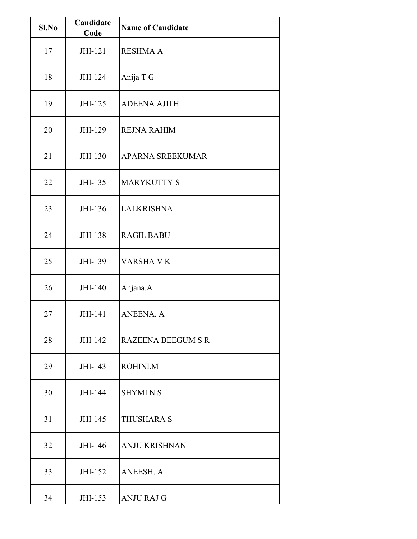| Sl.No | Candidate<br>Code | <b>Name of Candidate</b>  |
|-------|-------------------|---------------------------|
| 17    | JHI-121           | <b>RESHMA A</b>           |
| 18    | JHI-124           | Anija T G                 |
| 19    | JHI-125           | <b>ADEENA AJITH</b>       |
| 20    | JHI-129           | <b>REJNA RAHIM</b>        |
| 21    | JHI-130           | <b>APARNA SREEKUMAR</b>   |
| 22    | JHI-135           | <b>MARYKUTTY S</b>        |
| 23    | JHI-136           | <b>LALKRISHNA</b>         |
| 24    | JHI-138           | <b>RAGIL BABU</b>         |
| 25    | JHI-139           | VARSHA V K                |
| 26    | JHI-140           | Anjana.A                  |
| 27    | JHI-141           | <b>ANEENA. A</b>          |
| 28    | JHI-142           | <b>RAZEENA BEEGUM S R</b> |
| 29    | JHI-143           | ROHINI.M                  |
| 30    | JHI-144           | <b>SHYMINS</b>            |
| 31    | JHI-145           | <b>THUSHARA S</b>         |
| 32    | JHI-146           | <b>ANJU KRISHNAN</b>      |
| 33    | JHI-152           | ANEESH. A                 |
| 34    | JHI-153           | <b>ANJU RAJ G</b>         |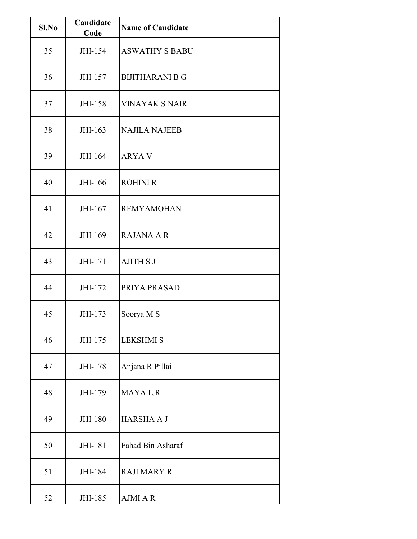| Sl.No | Candidate<br>Code | <b>Name of Candidate</b> |
|-------|-------------------|--------------------------|
| 35    | JHI-154           | <b>ASWATHY S BABU</b>    |
| 36    | JHI-157           | <b>BIJITHARANI B G</b>   |
| 37    | JHI-158           | <b>VINAYAK S NAIR</b>    |
| 38    | JHI-163           | <b>NAJILA NAJEEB</b>     |
| 39    | JHI-164           | <b>ARYAV</b>             |
| 40    | JHI-166           | <b>ROHINI R</b>          |
| 41    | JHI-167           | <b>REMYAMOHAN</b>        |
| 42    | JHI-169           | <b>RAJANA A R</b>        |
| 43    | JHI-171           | <b>AJITH S J</b>         |
| 44    | JHI-172           | PRIYA PRASAD             |
| 45    | JHI-173           | Soorya M S               |
| 46    | JHI-175           | <b>LEKSHMI S</b>         |
| 47    | JHI-178           | Anjana R Pillai          |
| 48    | JHI-179           | <b>MAYALR</b>            |
| 49    | JHI-180           | <b>HARSHA A J</b>        |
| 50    | JHI-181           | Fahad Bin Asharaf        |
| 51    | JHI-184           | <b>RAJI MARY R</b>       |
| 52    | JHI-185           | AJMI A R                 |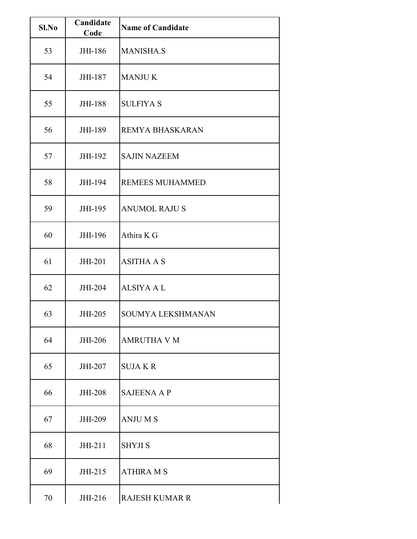|       | Candidate |                          |
|-------|-----------|--------------------------|
| Sl.No | Code      | <b>Name of Candidate</b> |
| 53    | JHI-186   | <b>MANISHA.S</b>         |
| 54    | JHI-187   | <b>MANJUK</b>            |
| 55    | JHI-188   | <b>SULFIYA S</b>         |
| 56    | JHI-189   | <b>REMYA BHASKARAN</b>   |
| 57    | JHI-192   | <b>SAJIN NAZEEM</b>      |
| 58    | JHI-194   | <b>REMEES MUHAMMED</b>   |
| 59    | JHI-195   | <b>ANUMOL RAJU S</b>     |
| 60    | JHI-196   | Athira K G               |
| 61    | JHI-201   | <b>ASITHA A S</b>        |
| 62    | JHI-204   | <b>ALSIYA A L</b>        |
| 63    | JHI-205   | <b>SOUMYA LEKSHMANAN</b> |
| 64    | JHI-206   | <b>AMRUTHA V M</b>       |
| 65    | JHI-207   | <b>SUJAKR</b>            |
| 66    | JHI-208   | <b>SAJEENA A P</b>       |
| 67    | JHI-209   | <b>ANJUMS</b>            |
| 68    | JHI-211   | <b>SHYJI S</b>           |
| 69    | JHI-215   | <b>ATHIRA M S</b>        |
| 70    | JHI-216   | <b>RAJESH KUMAR R</b>    |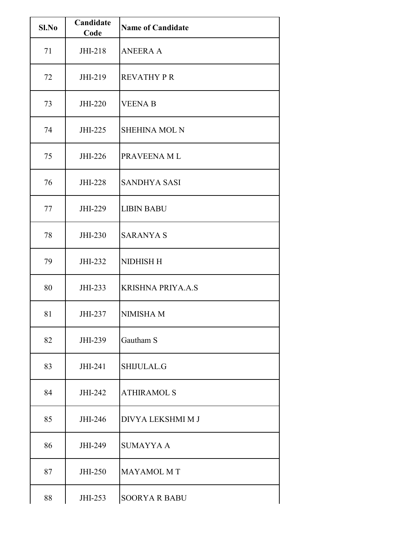| Sl.No | Candidate<br>Code | <b>Name of Candidate</b> |
|-------|-------------------|--------------------------|
| 71    | JHI-218           | <b>ANEERA A</b>          |
| 72    | JHI-219           | <b>REVATHY P R</b>       |
| 73    | JHI-220           | <b>VEENA B</b>           |
| 74    | JHI-225           | <b>SHEHINA MOL N</b>     |
| 75    | JHI-226           | PRAVEENA ML              |
| 76    | JHI-228           | <b>SANDHYA SASI</b>      |
| 77    | JHI-229           | <b>LIBIN BABU</b>        |
| 78    | JHI-230           | <b>SARANYA S</b>         |
| 79    | JHI-232           | NIDHISH H                |
| 80    | JHI-233           | <b>KRISHNA PRIYA.A.S</b> |
| 81    | JHI-237           | <b>NIMISHA M</b>         |
| 82    | JHI-239           | Gautham S                |
| 83    | JHI-241           | SHIJULAL.G               |
| 84    | JHI-242           | <b>ATHIRAMOL S</b>       |
| 85    | JHI-246           | DIVYA LEKSHMI M J        |
| 86    | JHI-249           | <b>SUMAYYA A</b>         |
| 87    | JHI-250           | <b>MAYAMOL MT</b>        |
| 88    | JHI-253           | <b>SOORYA R BABU</b>     |